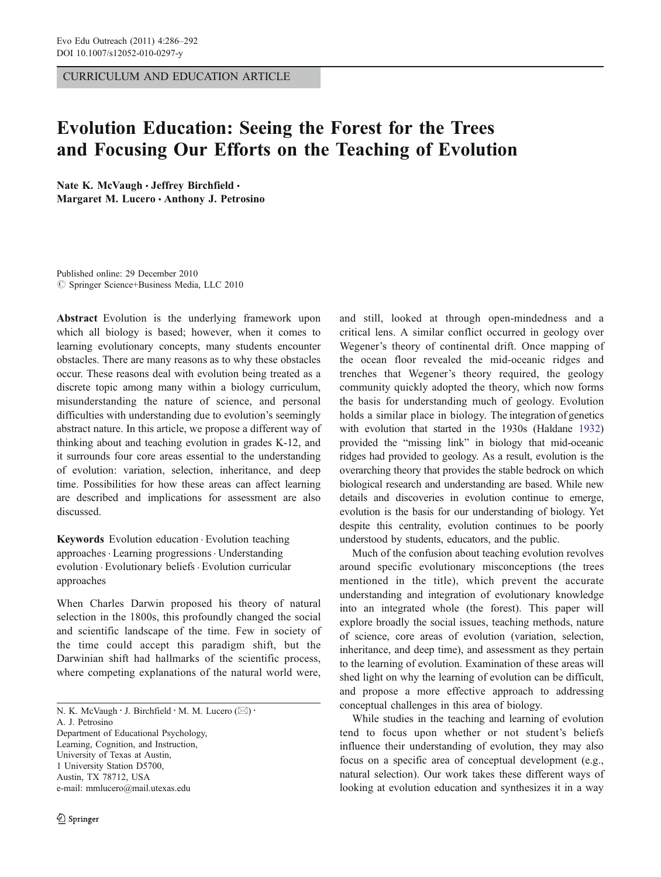CURRICULUM AND EDUCATION ARTICLE

# Evolution Education: Seeing the Forest for the Trees and Focusing Our Efforts on the Teaching of Evolution

Nate K. McVaugh · Jeffrey Birchfield · Margaret M. Lucero · Anthony J. Petrosino

Published online: 29 December 2010  $©$  Springer Science+Business Media, LLC 2010

Abstract Evolution is the underlying framework upon which all biology is based; however, when it comes to learning evolutionary concepts, many students encounter obstacles. There are many reasons as to why these obstacles occur. These reasons deal with evolution being treated as a discrete topic among many within a biology curriculum, misunderstanding the nature of science, and personal difficulties with understanding due to evolution's seemingly abstract nature. In this article, we propose a different way of thinking about and teaching evolution in grades K-12, and it surrounds four core areas essential to the understanding of evolution: variation, selection, inheritance, and deep time. Possibilities for how these areas can affect learning are described and implications for assessment are also discussed.

Keywords Evolution education . Evolution teaching approaches. Learning progressions. Understanding evolution . Evolutionary beliefs . Evolution curricular approaches

When Charles Darwin proposed his theory of natural selection in the 1800s, this profoundly changed the social and scientific landscape of the time. Few in society of the time could accept this paradigm shift, but the Darwinian shift had hallmarks of the scientific process, where competing explanations of the natural world were,

A. J. Petrosino

Department of Educational Psychology, Learning, Cognition, and Instruction, University of Texas at Austin, 1 University Station D5700, Austin, TX 78712, USA e-mail: mmlucero@mail.utexas.edu

and still, looked at through open-mindedness and a critical lens. A similar conflict occurred in geology over Wegener's theory of continental drift. Once mapping of the ocean floor revealed the mid-oceanic ridges and trenches that Wegener's theory required, the geology community quickly adopted the theory, which now forms the basis for understanding much of geology. Evolution holds a similar place in biology. The integration of genetics with evolution that started in the 1930s (Haldane [1932](#page-6-0)) provided the "missing link" in biology that mid-oceanic ridges had provided to geology. As a result, evolution is the overarching theory that provides the stable bedrock on which biological research and understanding are based. While new details and discoveries in evolution continue to emerge, evolution is the basis for our understanding of biology. Yet despite this centrality, evolution continues to be poorly understood by students, educators, and the public.

Much of the confusion about teaching evolution revolves around specific evolutionary misconceptions (the trees mentioned in the title), which prevent the accurate understanding and integration of evolutionary knowledge into an integrated whole (the forest). This paper will explore broadly the social issues, teaching methods, nature of science, core areas of evolution (variation, selection, inheritance, and deep time), and assessment as they pertain to the learning of evolution. Examination of these areas will shed light on why the learning of evolution can be difficult, and propose a more effective approach to addressing conceptual challenges in this area of biology.

While studies in the teaching and learning of evolution tend to focus upon whether or not student's beliefs influence their understanding of evolution, they may also focus on a specific area of conceptual development (e.g., natural selection). Our work takes these different ways of looking at evolution education and synthesizes it in a way

N. K. McVaugh · J. Birchfield · M. M. Lucero (⊠) ·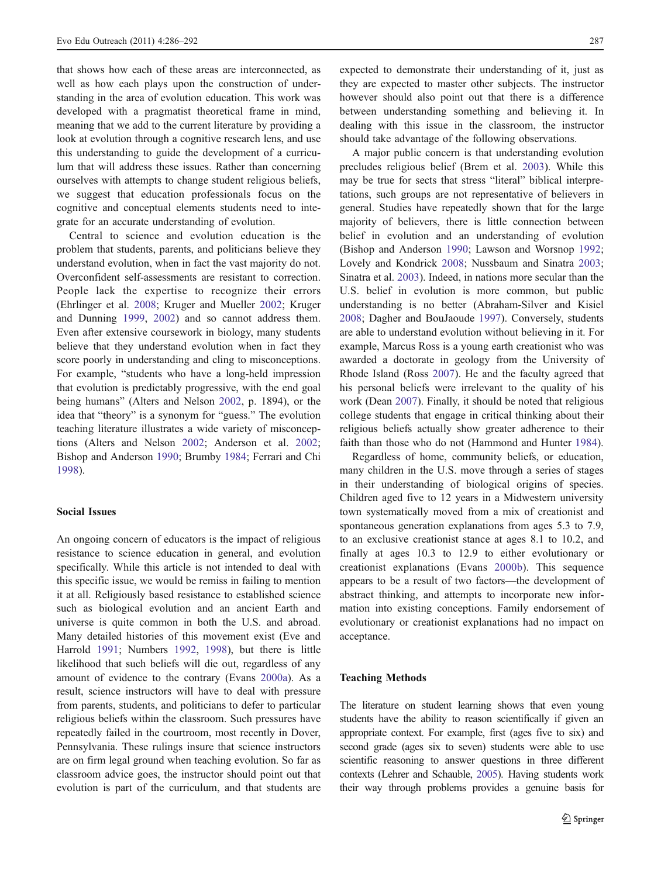that shows how each of these areas are interconnected, as well as how each plays upon the construction of understanding in the area of evolution education. This work was developed with a pragmatist theoretical frame in mind, meaning that we add to the current literature by providing a look at evolution through a cognitive research lens, and use this understanding to guide the development of a curriculum that will address these issues. Rather than concerning ourselves with attempts to change student religious beliefs, we suggest that education professionals focus on the cognitive and conceptual elements students need to integrate for an accurate understanding of evolution.

Central to science and evolution education is the problem that students, parents, and politicians believe they understand evolution, when in fact the vast majority do not. Overconfident self-assessments are resistant to correction. People lack the expertise to recognize their errors (Ehrlinger et al. [2008;](#page-5-0) Kruger and Mueller [2002](#page-6-0); Kruger and Dunning [1999,](#page-6-0) [2002](#page-6-0)) and so cannot address them. Even after extensive coursework in biology, many students believe that they understand evolution when in fact they score poorly in understanding and cling to misconceptions. For example, "students who have a long-held impression that evolution is predictably progressive, with the end goal being humans" (Alters and Nelson [2002,](#page-5-0) p. 1894), or the idea that "theory" is a synonym for "guess." The evolution teaching literature illustrates a wide variety of misconceptions (Alters and Nelson [2002](#page-5-0); Anderson et al. [2002](#page-5-0); Bishop and Anderson [1990](#page-5-0); Brumby [1984](#page-5-0); Ferrari and Chi [1998\)](#page-6-0).

## Social Issues

An ongoing concern of educators is the impact of religious resistance to science education in general, and evolution specifically. While this article is not intended to deal with this specific issue, we would be remiss in failing to mention it at all. Religiously based resistance to established science such as biological evolution and an ancient Earth and universe is quite common in both the U.S. and abroad. Many detailed histories of this movement exist (Eve and Harrold [1991](#page-6-0); Numbers [1992,](#page-6-0) [1998\)](#page-6-0), but there is little likelihood that such beliefs will die out, regardless of any amount of evidence to the contrary (Evans [2000a](#page-5-0)). As a result, science instructors will have to deal with pressure from parents, students, and politicians to defer to particular religious beliefs within the classroom. Such pressures have repeatedly failed in the courtroom, most recently in Dover, Pennsylvania. These rulings insure that science instructors are on firm legal ground when teaching evolution. So far as classroom advice goes, the instructor should point out that evolution is part of the curriculum, and that students are expected to demonstrate their understanding of it, just as they are expected to master other subjects. The instructor however should also point out that there is a difference between understanding something and believing it. In dealing with this issue in the classroom, the instructor should take advantage of the following observations.

A major public concern is that understanding evolution precludes religious belief (Brem et al. [2003\)](#page-5-0). While this may be true for sects that stress "literal" biblical interpretations, such groups are not representative of believers in general. Studies have repeatedly shown that for the large majority of believers, there is little connection between belief in evolution and an understanding of evolution (Bishop and Anderson [1990](#page-5-0); Lawson and Worsnop [1992;](#page-6-0) Lovely and Kondrick [2008](#page-6-0); Nussbaum and Sinatra [2003;](#page-6-0) Sinatra et al. [2003](#page-6-0)). Indeed, in nations more secular than the U.S. belief in evolution is more common, but public understanding is no better (Abraham-Silver and Kisiel [2008](#page-5-0); Dagher and BouJaoude [1997\)](#page-5-0). Conversely, students are able to understand evolution without believing in it. For example, Marcus Ross is a young earth creationist who was awarded a doctorate in geology from the University of Rhode Island (Ross [2007\)](#page-6-0). He and the faculty agreed that his personal beliefs were irrelevant to the quality of his work (Dean [2007](#page-5-0)). Finally, it should be noted that religious college students that engage in critical thinking about their religious beliefs actually show greater adherence to their faith than those who do not (Hammond and Hunter [1984](#page-6-0)).

Regardless of home, community beliefs, or education, many children in the U.S. move through a series of stages in their understanding of biological origins of species. Children aged five to 12 years in a Midwestern university town systematically moved from a mix of creationist and spontaneous generation explanations from ages 5.3 to 7.9, to an exclusive creationist stance at ages 8.1 to 10.2, and finally at ages 10.3 to 12.9 to either evolutionary or creationist explanations (Evans [2000b](#page-5-0)). This sequence appears to be a result of two factors—the development of abstract thinking, and attempts to incorporate new information into existing conceptions. Family endorsement of evolutionary or creationist explanations had no impact on acceptance.

#### Teaching Methods

The literature on student learning shows that even young students have the ability to reason scientifically if given an appropriate context. For example, first (ages five to six) and second grade (ages six to seven) students were able to use scientific reasoning to answer questions in three different contexts (Lehrer and Schauble, [2005](#page-6-0)). Having students work their way through problems provides a genuine basis for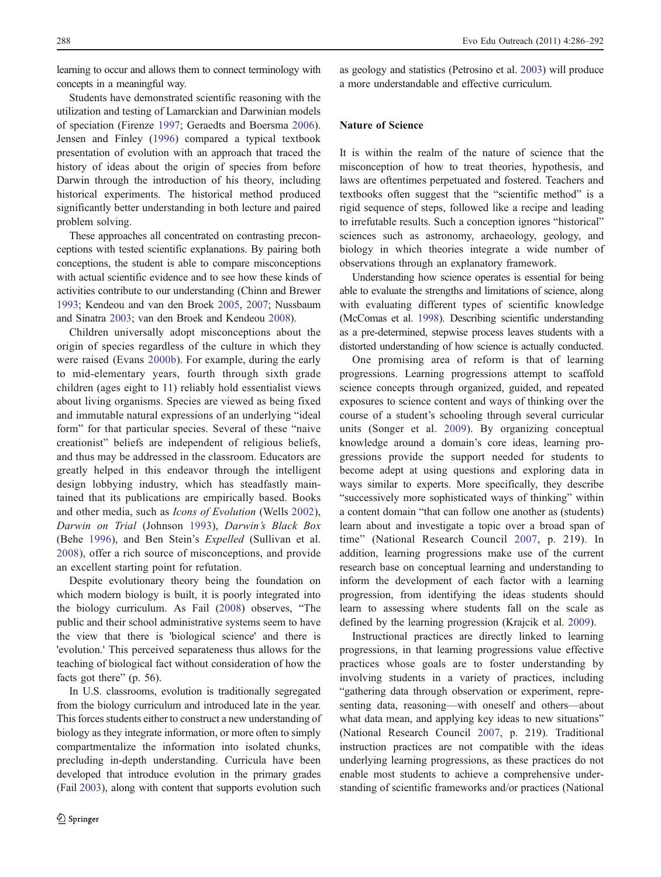<span id="page-2-0"></span>learning to occur and allows them to connect terminology with concepts in a meaningful way.

Students have demonstrated scientific reasoning with the utilization and testing of Lamarckian and Darwinian models of speciation (Firenze [1997](#page-6-0); Geraedts and Boersma [2006](#page-6-0)). Jensen and Finley ([1996\)](#page-6-0) compared a typical textbook presentation of evolution with an approach that traced the history of ideas about the origin of species from before Darwin through the introduction of his theory, including historical experiments. The historical method produced significantly better understanding in both lecture and paired problem solving.

These approaches all concentrated on contrasting preconceptions with tested scientific explanations. By pairing both conceptions, the student is able to compare misconceptions with actual scientific evidence and to see how these kinds of activities contribute to our understanding (Chinn and Brewer [1993;](#page-5-0) Kendeou and van den Broek [2005,](#page-6-0) [2007;](#page-6-0) Nussbaum and Sinatra [2003;](#page-6-0) van den Broek and Kendeou [2008\)](#page-6-0).

Children universally adopt misconceptions about the origin of species regardless of the culture in which they were raised (Evans [2000b\)](#page-5-0). For example, during the early to mid-elementary years, fourth through sixth grade children (ages eight to 11) reliably hold essentialist views about living organisms. Species are viewed as being fixed and immutable natural expressions of an underlying "ideal form" for that particular species. Several of these "naive creationist" beliefs are independent of religious beliefs, and thus may be addressed in the classroom. Educators are greatly helped in this endeavor through the intelligent design lobbying industry, which has steadfastly maintained that its publications are empirically based. Books and other media, such as Icons of Evolution (Wells [2002](#page-6-0)), Darwin on Trial (Johnson [1993](#page-6-0)), Darwin's Black Box (Behe [1996](#page-5-0)), and Ben Stein's Expelled (Sullivan et al. [2008](#page-6-0)), offer a rich source of misconceptions, and provide an excellent starting point for refutation.

Despite evolutionary theory being the foundation on which modern biology is built, it is poorly integrated into the biology curriculum. As Fail ([2008\)](#page-6-0) observes, "The public and their school administrative systems seem to have the view that there is 'biological science' and there is 'evolution.' This perceived separateness thus allows for the teaching of biological fact without consideration of how the facts got there" (p. 56).

In U.S. classrooms, evolution is traditionally segregated from the biology curriculum and introduced late in the year. This forces students either to construct a new understanding of biology as they integrate information, or more often to simply compartmentalize the information into isolated chunks, precluding in-depth understanding. Curricula have been developed that introduce evolution in the primary grades (Fail [2003](#page-6-0)), along with content that supports evolution such

as geology and statistics (Petrosino et al. [2003\)](#page-6-0) will produce a more understandable and effective curriculum.

# Nature of Science

It is within the realm of the nature of science that the misconception of how to treat theories, hypothesis, and laws are oftentimes perpetuated and fostered. Teachers and textbooks often suggest that the "scientific method" is a rigid sequence of steps, followed like a recipe and leading to irrefutable results. Such a conception ignores "historical" sciences such as astronomy, archaeology, geology, and biology in which theories integrate a wide number of observations through an explanatory framework.

Understanding how science operates is essential for being able to evaluate the strengths and limitations of science, along with evaluating different types of scientific knowledge (McComas et al. [1998\)](#page-6-0). Describing scientific understanding as a pre-determined, stepwise process leaves students with a distorted understanding of how science is actually conducted.

One promising area of reform is that of learning progressions. Learning progressions attempt to scaffold science concepts through organized, guided, and repeated exposures to science content and ways of thinking over the course of a student's schooling through several curricular units (Songer et al. [2009\)](#page-6-0). By organizing conceptual knowledge around a domain's core ideas, learning progressions provide the support needed for students to become adept at using questions and exploring data in ways similar to experts. More specifically, they describe "successively more sophisticated ways of thinking" within a content domain "that can follow one another as (students) learn about and investigate a topic over a broad span of time" (National Research Council [2007](#page-6-0), p. 219). In addition, learning progressions make use of the current research base on conceptual learning and understanding to inform the development of each factor with a learning progression, from identifying the ideas students should learn to assessing where students fall on the scale as defined by the learning progression (Krajcik et al. [2009\)](#page-6-0).

Instructional practices are directly linked to learning progressions, in that learning progressions value effective practices whose goals are to foster understanding by involving students in a variety of practices, including "gathering data through observation or experiment, representing data, reasoning—with oneself and others—about what data mean, and applying key ideas to new situations" (National Research Council [2007,](#page-6-0) p. 219). Traditional instruction practices are not compatible with the ideas underlying learning progressions, as these practices do not enable most students to achieve a comprehensive understanding of scientific frameworks and/or practices (National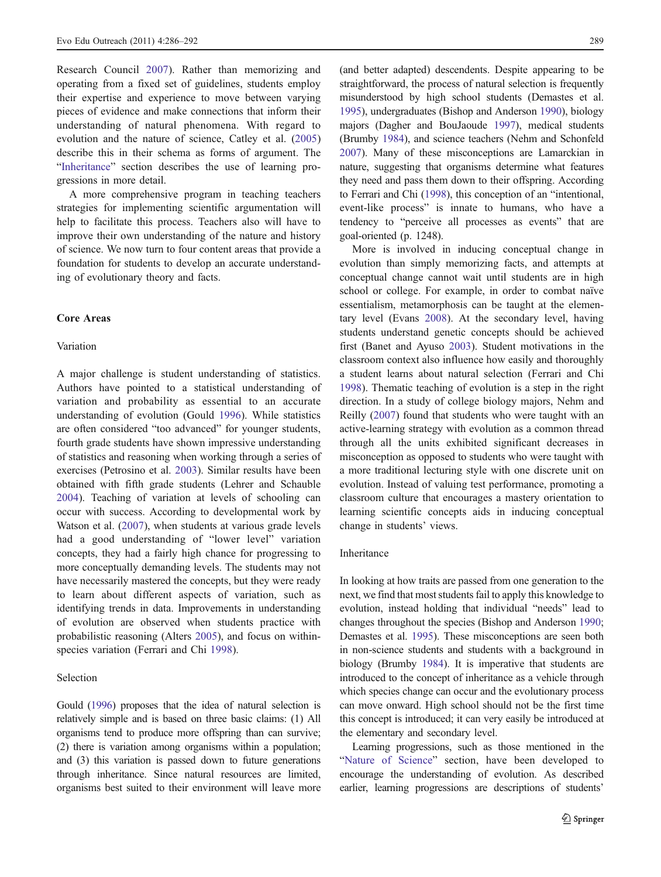Research Council [2007\)](#page-6-0). Rather than memorizing and operating from a fixed set of guidelines, students employ their expertise and experience to move between varying pieces of evidence and make connections that inform their understanding of natural phenomena. With regard to evolution and the nature of science, Catley et al. ([2005\)](#page-5-0) describe this in their schema as forms of argument. The "Inheritance" section describes the use of learning progressions in more detail.

A more comprehensive program in teaching teachers strategies for implementing scientific argumentation will help to facilitate this process. Teachers also will have to improve their own understanding of the nature and history of science. We now turn to four content areas that provide a foundation for students to develop an accurate understanding of evolutionary theory and facts.

# Core Areas

## Variation

A major challenge is student understanding of statistics. Authors have pointed to a statistical understanding of variation and probability as essential to an accurate understanding of evolution (Gould [1996](#page-6-0)). While statistics are often considered "too advanced" for younger students, fourth grade students have shown impressive understanding of statistics and reasoning when working through a series of exercises (Petrosino et al. [2003\)](#page-6-0). Similar results have been obtained with fifth grade students (Lehrer and Schauble [2004\)](#page-6-0). Teaching of variation at levels of schooling can occur with success. According to developmental work by Watson et al. ([2007\)](#page-6-0), when students at various grade levels had a good understanding of "lower level" variation concepts, they had a fairly high chance for progressing to more conceptually demanding levels. The students may not have necessarily mastered the concepts, but they were ready to learn about different aspects of variation, such as identifying trends in data. Improvements in understanding of evolution are observed when students practice with probabilistic reasoning (Alters [2005\)](#page-5-0), and focus on withinspecies variation (Ferrari and Chi [1998](#page-6-0)).

#### Selection

Gould [\(1996](#page-6-0)) proposes that the idea of natural selection is relatively simple and is based on three basic claims: (1) All organisms tend to produce more offspring than can survive; (2) there is variation among organisms within a population; and (3) this variation is passed down to future generations through inheritance. Since natural resources are limited, organisms best suited to their environment will leave more

(and better adapted) descendents. Despite appearing to be straightforward, the process of natural selection is frequently misunderstood by high school students (Demastes et al. [1995\)](#page-5-0), undergraduates (Bishop and Anderson [1990](#page-5-0)), biology majors (Dagher and BouJaoude [1997\)](#page-5-0), medical students (Brumby [1984](#page-5-0)), and science teachers (Nehm and Schonfeld [2007\)](#page-6-0). Many of these misconceptions are Lamarckian in nature, suggesting that organisms determine what features they need and pass them down to their offspring. According to Ferrari and Chi ([1998](#page-6-0)), this conception of an "intentional, event-like process" is innate to humans, who have a tendency to "perceive all processes as events" that are goal-oriented (p. 1248).

More is involved in inducing conceptual change in evolution than simply memorizing facts, and attempts at conceptual change cannot wait until students are in high school or college. For example, in order to combat naïve essentialism, metamorphosis can be taught at the elementary level (Evans [2008\)](#page-5-0). At the secondary level, having students understand genetic concepts should be achieved first (Banet and Ayuso [2003\)](#page-5-0). Student motivations in the classroom context also influence how easily and thoroughly a student learns about natural selection (Ferrari and Chi [1998](#page-6-0)). Thematic teaching of evolution is a step in the right direction. In a study of college biology majors, Nehm and Reilly ([2007\)](#page-6-0) found that students who were taught with an active-learning strategy with evolution as a common thread through all the units exhibited significant decreases in misconception as opposed to students who were taught with a more traditional lecturing style with one discrete unit on evolution. Instead of valuing test performance, promoting a classroom culture that encourages a mastery orientation to learning scientific concepts aids in inducing conceptual change in students' views.

## Inheritance

In looking at how traits are passed from one generation to the next, we find that most students fail to apply this knowledge to evolution, instead holding that individual "needs" lead to changes throughout the species (Bishop and Anderson [1990;](#page-5-0) Demastes et al. [1995\)](#page-5-0). These misconceptions are seen both in non-science students and students with a background in biology (Brumby [1984\)](#page-5-0). It is imperative that students are introduced to the concept of inheritance as a vehicle through which species change can occur and the evolutionary process can move onward. High school should not be the first time this concept is introduced; it can very easily be introduced at the elementary and secondary level.

Learning progressions, such as those mentioned in the "[Nature of Science](#page-2-0)" section, have been developed to encourage the understanding of evolution. As described earlier, learning progressions are descriptions of students'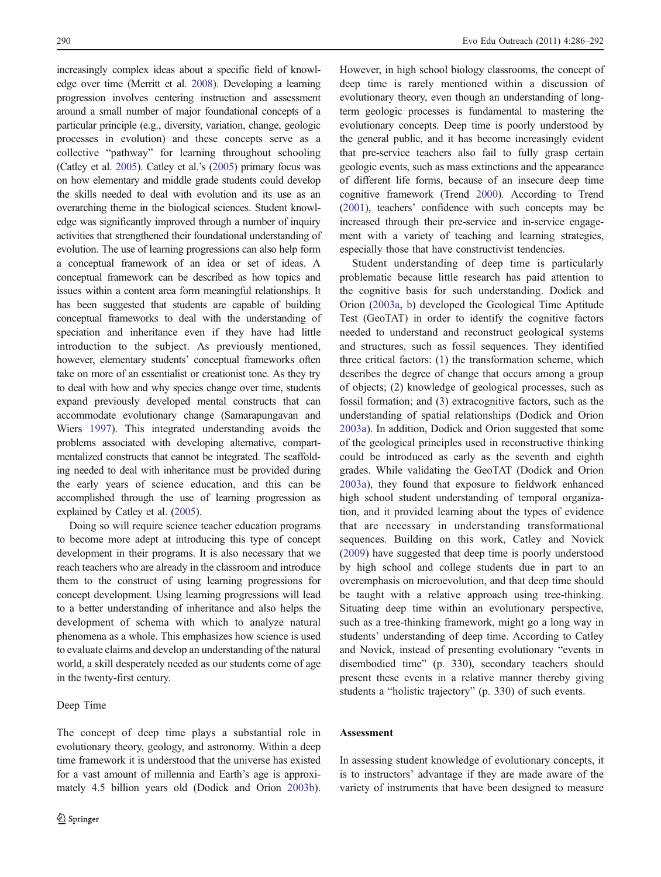increasingly complex ideas about a specific field of knowledge over time (Merritt et al. [2008\)](#page-6-0). Developing a learning progression involves centering instruction and assessment around a small number of major foundational concepts of a particular principle (e.g., diversity, variation, change, geologic processes in evolution) and these concepts serve as a collective "pathway" for learning throughout schooling (Catley et al. [2005\)](#page-5-0). Catley et al.'s ([2005\)](#page-5-0) primary focus was on how elementary and middle grade students could develop the skills needed to deal with evolution and its use as an overarching theme in the biological sciences. Student knowledge was significantly improved through a number of inquiry activities that strengthened their foundational understanding of evolution. The use of learning progressions can also help form a conceptual framework of an idea or set of ideas. A conceptual framework can be described as how topics and issues within a content area form meaningful relationships. It has been suggested that students are capable of building conceptual frameworks to deal with the understanding of speciation and inheritance even if they have had little introduction to the subject. As previously mentioned, however, elementary students' conceptual frameworks often take on more of an essentialist or creationist tone. As they try to deal with how and why species change over time, students expand previously developed mental constructs that can accommodate evolutionary change (Samarapungavan and Wiers [1997\)](#page-6-0). This integrated understanding avoids the problems associated with developing alternative, compartmentalized constructs that cannot be integrated. The scaffolding needed to deal with inheritance must be provided during the early years of science education, and this can be accomplished through the use of learning progression as explained by Catley et al. [\(2005](#page-5-0)).

Doing so will require science teacher education programs to become more adept at introducing this type of concept development in their programs. It is also necessary that we reach teachers who are already in the classroom and introduce them to the construct of using learning progressions for concept development. Using learning progressions will lead to a better understanding of inheritance and also helps the development of schema with which to analyze natural phenomena as a whole. This emphasizes how science is used to evaluate claims and develop an understanding of the natural world, a skill desperately needed as our students come of age in the twenty-first century.

#### Deep Time

The concept of deep time plays a substantial role in evolutionary theory, geology, and astronomy. Within a deep time framework it is understood that the universe has existed for a vast amount of millennia and Earth's age is approximately 4.5 billion years old (Dodick and Orion [2003b\)](#page-5-0).

However, in high school biology classrooms, the concept of deep time is rarely mentioned within a discussion of evolutionary theory, even though an understanding of longterm geologic processes is fundamental to mastering the evolutionary concepts. Deep time is poorly understood by the general public, and it has become increasingly evident that pre-service teachers also fail to fully grasp certain geologic events, such as mass extinctions and the appearance of different life forms, because of an insecure deep time cognitive framework (Trend [2000\)](#page-6-0). According to Trend [\(2001\)](#page-6-0), teachers' confidence with such concepts may be increased through their pre-service and in-service engagement with a variety of teaching and learning strategies, especially those that have constructivist tendencies.

Student understanding of deep time is particularly problematic because little research has paid attention to the cognitive basis for such understanding. Dodick and Orion [\(2003a](#page-5-0), [b\)](#page-5-0) developed the Geological Time Aptitude Test (GeoTAT) in order to identify the cognitive factors needed to understand and reconstruct geological systems and structures, such as fossil sequences. They identified three critical factors: (1) the transformation scheme, which describes the degree of change that occurs among a group of objects; (2) knowledge of geological processes, such as fossil formation; and (3) extracognitive factors, such as the understanding of spatial relationships (Dodick and Orion [2003a](#page-5-0)). In addition, Dodick and Orion suggested that some of the geological principles used in reconstructive thinking could be introduced as early as the seventh and eighth grades. While validating the GeoTAT (Dodick and Orion [2003a](#page-5-0)), they found that exposure to fieldwork enhanced high school student understanding of temporal organization, and it provided learning about the types of evidence that are necessary in understanding transformational sequences. Building on this work, Catley and Novick [\(2009](#page-5-0)) have suggested that deep time is poorly understood by high school and college students due in part to an overemphasis on microevolution, and that deep time should be taught with a relative approach using tree-thinking. Situating deep time within an evolutionary perspective, such as a tree-thinking framework, might go a long way in students' understanding of deep time. According to Catley and Novick, instead of presenting evolutionary "events in disembodied time" (p. 330), secondary teachers should present these events in a relative manner thereby giving students a "holistic trajectory" (p. 330) of such events.

#### Assessment

In assessing student knowledge of evolutionary concepts, it is to instructors' advantage if they are made aware of the variety of instruments that have been designed to measure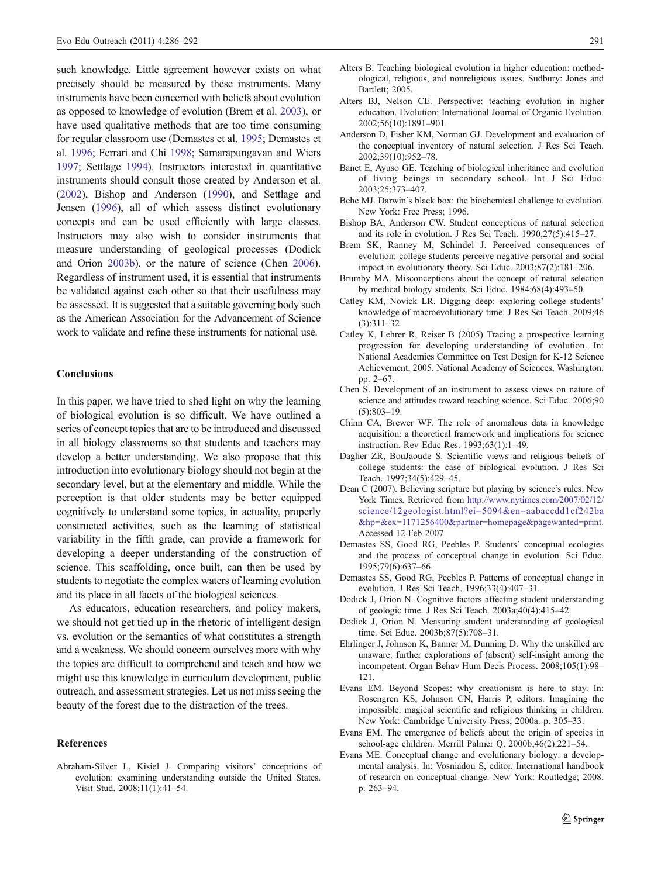<span id="page-5-0"></span>such knowledge. Little agreement however exists on what precisely should be measured by these instruments. Many instruments have been concerned with beliefs about evolution as opposed to knowledge of evolution (Brem et al. 2003), or have used qualitative methods that are too time consuming for regular classroom use (Demastes et al. 1995; Demastes et al. 1996; Ferrari and Chi [1998;](#page-6-0) Samarapungavan and Wiers [1997;](#page-6-0) Settlage [1994](#page-6-0)). Instructors interested in quantitative instruments should consult those created by Anderson et al. (2002), Bishop and Anderson (1990), and Settlage and Jensen [\(1996\)](#page-6-0), all of which assess distinct evolutionary concepts and can be used efficiently with large classes. Instructors may also wish to consider instruments that measure understanding of geological processes (Dodick and Orion 2003b), or the nature of science (Chen 2006). Regardless of instrument used, it is essential that instruments be validated against each other so that their usefulness may be assessed. It is suggested that a suitable governing body such as the American Association for the Advancement of Science work to validate and refine these instruments for national use.

### **Conclusions**

In this paper, we have tried to shed light on why the learning of biological evolution is so difficult. We have outlined a series of concept topics that are to be introduced and discussed in all biology classrooms so that students and teachers may develop a better understanding. We also propose that this introduction into evolutionary biology should not begin at the secondary level, but at the elementary and middle. While the perception is that older students may be better equipped cognitively to understand some topics, in actuality, properly constructed activities, such as the learning of statistical variability in the fifth grade, can provide a framework for developing a deeper understanding of the construction of science. This scaffolding, once built, can then be used by students to negotiate the complex waters of learning evolution and its place in all facets of the biological sciences.

As educators, education researchers, and policy makers, we should not get tied up in the rhetoric of intelligent design vs. evolution or the semantics of what constitutes a strength and a weakness. We should concern ourselves more with why the topics are difficult to comprehend and teach and how we might use this knowledge in curriculum development, public outreach, and assessment strategies. Let us not miss seeing the beauty of the forest due to the distraction of the trees.

# References

Abraham-Silver L, Kisiel J. Comparing visitors' conceptions of evolution: examining understanding outside the United States. Visit Stud. 2008;11(1):41–54.

- Alters B. Teaching biological evolution in higher education: methodological, religious, and nonreligious issues. Sudbury: Jones and Bartlett; 2005.
- Alters BJ, Nelson CE. Perspective: teaching evolution in higher education. Evolution: International Journal of Organic Evolution. 2002;56(10):1891–901.
- Anderson D, Fisher KM, Norman GJ. Development and evaluation of the conceptual inventory of natural selection. J Res Sci Teach. 2002;39(10):952–78.
- Banet E, Ayuso GE. Teaching of biological inheritance and evolution of living beings in secondary school. Int J Sci Educ. 2003;25:373–407.
- Behe MJ. Darwin's black box: the biochemical challenge to evolution. New York: Free Press; 1996.
- Bishop BA, Anderson CW. Student conceptions of natural selection and its role in evolution. J Res Sci Teach. 1990;27(5):415–27.
- Brem SK, Ranney M, Schindel J. Perceived consequences of evolution: college students perceive negative personal and social impact in evolutionary theory. Sci Educ. 2003;87(2):181–206.
- Brumby MA. Misconceptions about the concept of natural selection by medical biology students. Sci Educ. 1984;68(4):493–50.
- Catley KM, Novick LR. Digging deep: exploring college students' knowledge of macroevolutionary time. J Res Sci Teach. 2009;46 (3):311–32.
- Catley K, Lehrer R, Reiser B (2005) Tracing a prospective learning progression for developing understanding of evolution. In: National Academies Committee on Test Design for K-12 Science Achievement, 2005. National Academy of Sciences, Washington. pp. 2–67.
- Chen S. Development of an instrument to assess views on nature of science and attitudes toward teaching science. Sci Educ. 2006;90 (5):803–19.
- Chinn CA, Brewer WF. The role of anomalous data in knowledge acquisition: a theoretical framework and implications for science instruction. Rev Educ Res. 1993;63(1):1–49.
- Dagher ZR, BouJaoude S. Scientific views and religious beliefs of college students: the case of biological evolution. J Res Sci Teach. 1997;34(5):429–45.
- Dean C (2007). Believing scripture but playing by science's rules. New York Times. Retrieved from [http://www.nytimes.com/2007/02/12/](http://www.nytimes.com/2007/02/12/science/12geologist.html?ei=5094&en=aabaccdd1cf242ba&hp=&ex=1171256400&partner=homepage&pagewanted=print) [science/12geologist.html?ei=5094&en=aabaccdd1cf242ba](http://www.nytimes.com/2007/02/12/science/12geologist.html?ei=5094&en=aabaccdd1cf242ba&hp=&ex=1171256400&partner=homepage&pagewanted=print) [&hp=&ex=1171256400&partner=homepage&pagewanted=print](http://www.nytimes.com/2007/02/12/science/12geologist.html?ei=5094&en=aabaccdd1cf242ba&hp=&ex=1171256400&partner=homepage&pagewanted=print). Accessed 12 Feb 2007
- Demastes SS, Good RG, Peebles P. Students' conceptual ecologies and the process of conceptual change in evolution. Sci Educ. 1995;79(6):637–66.
- Demastes SS, Good RG, Peebles P. Patterns of conceptual change in evolution. J Res Sci Teach. 1996;33(4):407–31.
- Dodick J, Orion N. Cognitive factors affecting student understanding of geologic time. J Res Sci Teach. 2003a;40(4):415–42.
- Dodick J, Orion N. Measuring student understanding of geological time. Sci Educ. 2003b;87(5):708–31.
- Ehrlinger J, Johnson K, Banner M, Dunning D. Why the unskilled are unaware: further explorations of (absent) self-insight among the incompetent. Organ Behav Hum Decis Process. 2008;105(1):98– 121.
- Evans EM. Beyond Scopes: why creationism is here to stay. In: Rosengren KS, Johnson CN, Harris P, editors. Imagining the impossible: magical scientific and religious thinking in children. New York: Cambridge University Press; 2000a. p. 305–33.
- Evans EM. The emergence of beliefs about the origin of species in school-age children. Merrill Palmer Q. 2000b;46(2):221–54.
- Evans ME. Conceptual change and evolutionary biology: a developmental analysis. In: Vosniadou S, editor. International handbook of research on conceptual change. New York: Routledge; 2008. p. 263–94.